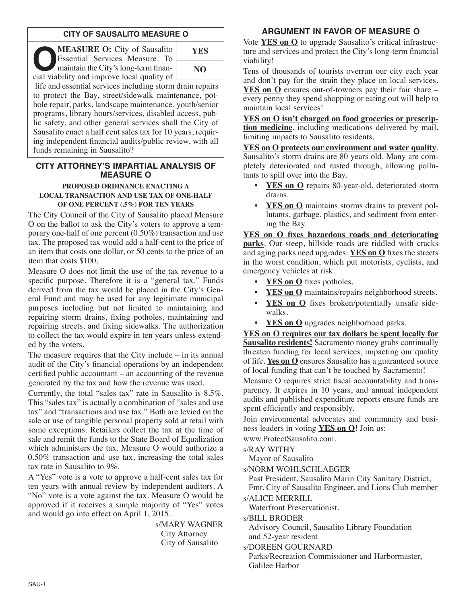# **CITY OF SAUSALITO MEASURE O**

**OMEASURE O:** City of Sausalito<br>
Essential Services Measure. To<br>
maintain the City's long-term finan-<br>
cial viability and improve local quality of Essential Services Measure. To cial viability and improve local quality of



life and essential services including storm drain repairs to protect the Bay, street/sidewalk maintenance, pothole repair, parks, landscape maintenance, youth/senior programs, library hours/services, disabled access, public safety, and other general services shall the City of Sausalito enact a half cent sales tax for 10 years, requiring independent financial audits/public review, with all funds remaining in Sausalito?

# **CITY ATTORNEY'S IMPARTIAL ANALYSIS OF MEASURE O**

#### **PROPOSED ORDINANCE ENACTING A LOCAL TRANSACTION AND USE TAX OF ONE-HALF OF ONE PERCENT (.5%) FOR TEN YEARS**

The City Council of the City of Sausalito placed Measure O on the ballot to ask the City's voters to approve a temporary one-half of one percent (0.50%) transaction and use tax. The proposed tax would add a half-cent to the price of an item that costs one dollar, or 50 cents to the price of an item that costs \$100.

Measure O does not limit the use of the tax revenue to a specific purpose. Therefore it is a "general tax." Funds derived from the tax would be placed in the City's General Fund and may be used for any legitimate municipal purposes including but not limited to maintaining and repairing storm drains, fixing potholes, maintaining and repairing streets, and fixing sidewalks. The authorization to collect the tax would expire in ten years unless extended by the voters.

The measure requires that the City include – in its annual audit of the City's financial operations by an independent certified public accountant – an accounting of the revenue generated by the tax and how the revenue was used.

Currently, the total "sales tax" rate in Sausalito is 8.5%. This "sales tax" is actually a combination of "sales and use tax" and "transactions and use tax." Both are levied on the sale or use of tangible personal property sold at retail with some exceptions. Retailers collect the tax at the time of sale and remit the funds to the State Board of Equalization which administers the tax. Measure O would authorize a 0.50% transaction and use tax, increasing the total sales tax rate in Sausalito to 9%.

A "Yes" vote is a vote to approve a half-cent sales tax for ten years with annual review by independent auditors. A "No" vote is a vote against the tax. Measure O would be approved if it receives a simple majority of "Yes" votes and would go into effect on April 1, 2015.

> s/MARY WAGNER City Attorney City of Sausalito

# **ARGUMENT IN FAVOR OF MEASURE O**

Vote **YES on O** to upgrade Sausalito's critical infrastructure and services and protect the City's long-term financial viability!

Tens of thousands of tourists overrun our city each year and don't pay for the strain they place on local services. **YES on O** ensures out-of-towners pay their fair share – every penny they spend shopping or eating out will help to maintain local services!

**YES on O isn't charged on food groceries or prescription medicine**, including medications delivered by mail, limiting impacts to Sausalito residents.

**YES on O protects our environment and water quality**. Sausalito's storm drains are 80 years old. Many are completely deteriorated and rusted through, allowing pollutants to spill over into the Bay.

- YES on O repairs 80-year-old, deteriorated storm drains.
- **YES on O** maintains storms drains to prevent pollutants, garbage, plastics, and sediment from entering the Bay.

**YES on O fixes hazardous roads and deteriorating parks**. Our steep, hillside roads are riddled with cracks and aging parks need upgrades. **YES on O** fixes the streets in the worst condition, which put motorists, cyclists, and emergency vehicles at risk.

- **YES on O** fixes potholes.
- **YES** on **O** maintains/repairs neighborhood streets.
- **YES on O** fixes broken/potentially unsafe sidewalks.
- **YES on O** upgrades neighborhood parks.

**YES on O requires our tax dollars be spent locally for Sausalito residents!** Sacramento money grabs continually threaten funding for local services, impacting our quality of life. **Yes on O** ensures Sausalito has a guaranteed source of local funding that can't be touched by Sacramento!

Measure O requires strict fiscal accountability and transparency. It expires in 10 years, and annual independent audits and published expenditure reports ensure funds are spent efficiently and responsibly.

Join environmental advocates and community and business leaders in voting **YES on O**! Join us:

www.ProtectSausalito.com.

s/RAY WITHY

Mayor of Sausalito

s/NORM WOHLSCHLAEGER

Past President, Sausalito Marin City Sanitary District, Fmr. City of Sausalito Engineer, and Lions Club member

s/ALICE MERRILL

Waterfront Preservationist.

s/BILL BRODER

Advisory Council, Sausalito Library Foundation and 52-year resident

s/DOREEN GOURNARD

Parks/Recreation Commissioner and Harbormaster, Galilee Harbor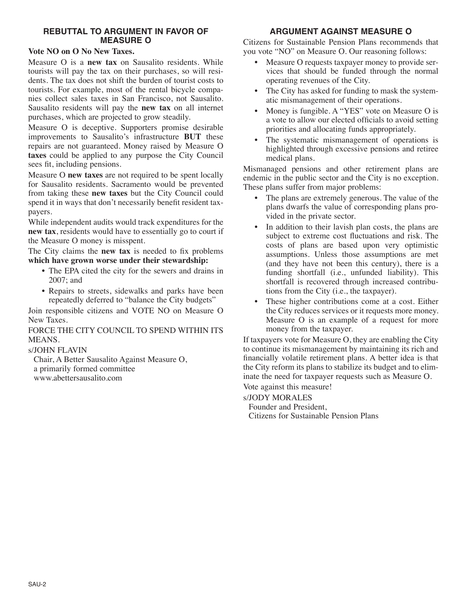# **REBUTTAL TO ARGUMENT IN FAVOR OF MEASURE O**

#### **Vote NO on O No New Taxes.**

Measure O is a **new tax** on Sausalito residents. While tourists will pay the tax on their purchases, so will residents. The tax does not shift the burden of tourist costs to tourists. For example, most of the rental bicycle companies collect sales taxes in San Francisco, not Sausalito. Sausalito residents will pay the **new tax** on all internet purchases, which are projected to grow steadily.

Measure O is deceptive. Supporters promise desirable improvements to Sausalito's infrastructure **BUT** these repairs are not guaranteed. Money raised by Measure O **taxes** could be applied to any purpose the City Council sees fit, including pensions.

Measure O **new taxes** are not required to be spent locally for Sausalito residents. Sacramento would be prevented from taking these **new taxes** but the City Council could spend it in ways that don't necessarily benefit resident taxpayers.

While independent audits would track expenditures for the **new tax**, residents would have to essentially go to court if the Measure O money is misspent.

The City claims the **new tax** is needed to fix problems **which have grown worse under their stewardship:**

- The EPA cited the city for the sewers and drains in 2007; and
- Repairs to streets, sidewalks and parks have been repeatedly deferred to "balance the City budgets"

Join responsible citizens and VOTE NO on Measure O New Taxes.

FORCE THE CITY COUNCIL TO SPEND WITHIN ITS MEANS.

### s/JOHN FLAVIN

Chair, A Better Sausalito Against Measure O, a primarily formed committee www.abettersausalito.com

# **ARGUMENT AGAINST MEASURE O**

Citizens for Sustainable Pension Plans recommends that you vote "NO" on Measure O. Our reasoning follows:

- Measure O requests taxpayer money to provide services that should be funded through the normal operating revenues of the City.
- The City has asked for funding to mask the systematic mismanagement of their operations.
- Money is fungible. A "YES" vote on Measure O is a vote to allow our elected officials to avoid setting priorities and allocating funds appropriately.
- The systematic mismanagement of operations is highlighted through excessive pensions and retiree medical plans.

Mismanaged pensions and other retirement plans are endemic in the public sector and the City is no exception. These plans suffer from major problems:

- The plans are extremely generous. The value of the plans dwarfs the value of corresponding plans provided in the private sector.
- In addition to their lavish plan costs, the plans are subject to extreme cost fluctuations and risk. The costs of plans are based upon very optimistic assumptions. Unless those assumptions are met (and they have not been this century), there is a funding shortfall (i.e., unfunded liability). This shortfall is recovered through increased contributions from the City (i.e., the taxpayer).
- These higher contributions come at a cost. Either the City reduces services or it requests more money. Measure O is an example of a request for more money from the taxpayer.

If taxpayers vote for Measure O, they are enabling the City to continue its mismanagement by maintaining its rich and financially volatile retirement plans. A better idea is that the City reform its plans to stabilize its budget and to eliminate the need for taxpayer requests such as Measure O. Vote against this measure!

### s/JODY MORALES

Founder and President,

Citizens for Sustainable Pension Plans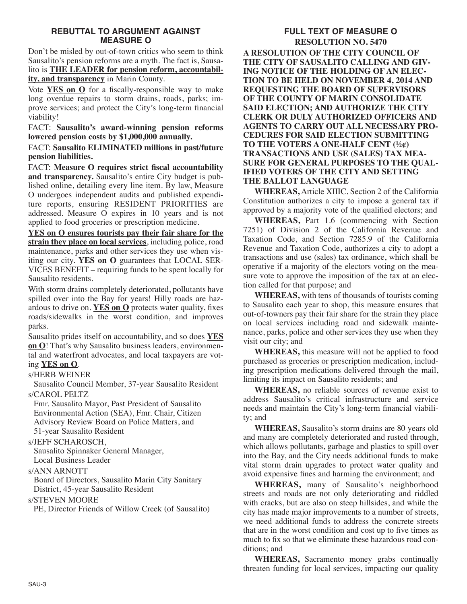### **REBUTTAL TO ARGUMENT AGAINST MEASURE O**

Don't be misled by out-of-town critics who seem to think Sausalito's pension reforms are a myth. The fact is, Sausalito is **THE LEADER for pension reform, accountability, and transparency** in Marin County.

Vote **YES on O** for a fiscally-responsible way to make long overdue repairs to storm drains, roads, parks; improve services; and protect the City's long-term financial viability!

FACT: **Sausalito's award-winning pension reforms lowered pension costs by \$1,000,000 annually.**

FACT: **Sausalito ELIMINATED millions in past/future pension liabilities.**

FACT: **Measure O requires strict fiscal accountability and transparency.** Sausalito's entire City budget is published online, detailing every line item. By law, Measure O undergoes independent audits and published expenditure reports, ensuring RESIDENT PRIORITIES are addressed. Measure O expires in 10 years and is not applied to food groceries or prescription medicine.

**YES on O ensures tourists pay their fair share for the strain they place on local services**, including police, road maintenance, parks and other services they use when visiting our city. **YES on O** guarantees that LOCAL SER-VICES BENEFIT – requiring funds to be spent locally for Sausalito residents.

With storm drains completely deteriorated, pollutants have spilled over into the Bay for years! Hilly roads are hazardous to drive on. **YES on O** protects water quality, fixes roads/sidewalks in the worst condition, and improves parks.

Sausalito prides itself on accountability, and so does **YES on O**! That's why Sausalito business leaders, environmental and waterfront advocates, and local taxpayers are voting **YES on O**.

### s/HERB WEINER

Sausalito Council Member, 37-year Sausalito Resident s/CAROL PELTZ

Fmr. Sausalito Mayor, Past President of Sausalito Environmental Action (SEA), Fmr. Chair, Citizen Advisory Review Board on Police Matters, and 51-year Sausalito Resident

### s/JEFF SCHAROSCH,

Sausalito Spinnaker General Manager, Local Business Leader

### s/ANN ARNOTT

Board of Directors, Sausalito Marin City Sanitary District, 45-year Sausalito Resident

### s/STEVEN MOORE

PE, Director Friends of Willow Creek (of Sausalito)

#### **FULL TEXT OF MEASURE O RESOLUTION NO. 5470 A RESOLUTION OF THE CITY COUNCIL OF THE CITY OF SAUSALITO CALLING AND GIV-ING NOTICE OF THE HOLDING OF AN ELEC-TION TO BE HELD ON NOVEMBER 4, 2014 AND REQUESTING THE BOARD OF SUPERVISORS OF THE COUNTY OF MARIN CONSOLIDATE SAID ELECTION; AND AUTHORIZE THE CITY CLERK OR DULY AUTHORIZED OFFICERS AND AGENTS TO CARRY OUT ALL NECESSARY PRO-CEDURES FOR SAID ELECTION SUBMITTING**

**TO THE VOTERS A ONE-HALF CENT (½¢) TRANSACTIONS AND USE (SALES) TAX MEA-SURE FOR GENERAL PURPOSES TO THE QUAL-IFIED VOTERS OF THE CITY AND SETTING THE BALLOT LANGUAGE**

**WHEREAS,** Article XIIIC, Section 2 of the California Constitution authorizes a city to impose a general tax if approved by a majority vote of the qualified electors; and

**WHEREAS,** Part 1.6 (commencing with Section 7251) of Division 2 of the California Revenue and Taxation Code, and Section 7285.9 of the California Revenue and Taxation Code, authorizes a city to adopt a transactions and use (sales) tax ordinance, which shall be operative if a majority of the electors voting on the measure vote to approve the imposition of the tax at an election called for that purpose; and

**WHEREAS,** with tens of thousands of tourists coming to Sausalito each year to shop, this measure ensures that out-of-towners pay their fair share for the strain they place on local services including road and sidewalk maintenance, parks, police and other services they use when they visit our city; and

**WHEREAS,** this measure will not be applied to food purchased as groceries or prescription medication, including prescription medications delivered through the mail, limiting its impact on Sausalito residents; and

**WHEREAS,** no reliable sources of revenue exist to address Sausalito's critical infrastructure and service needs and maintain the City's long-term financial viability; and

**WHEREAS,** Sausalito's storm drains are 80 years old and many are completely deteriorated and rusted through, which allows pollutants, garbage and plastics to spill over into the Bay, and the City needs additional funds to make vital storm drain upgrades to protect water quality and avoid expensive fines and harming the environment; and

**WHEREAS,** many of Sausalito's neighborhood streets and roads are not only deteriorating and riddled with cracks, but are also on steep hillsides, and while the city has made major improvements to a number of streets, we need additional funds to address the concrete streets that are in the worst condition and cost up to five times as much to fix so that we eliminate these hazardous road conditions; and

**WHEREAS,** Sacramento money grabs continually threaten funding for local services, impacting our quality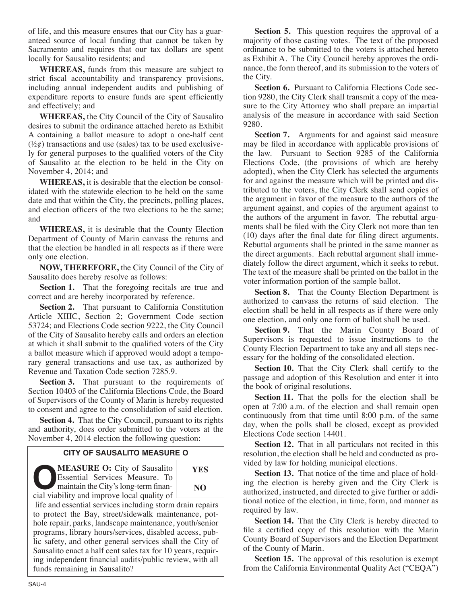of life, and this measure ensures that our City has a guaranteed source of local funding that cannot be taken by Sacramento and requires that our tax dollars are spent locally for Sausalito residents; and

**WHEREAS,** funds from this measure are subject to strict fiscal accountability and transparency provisions, including annual independent audits and publishing of expenditure reports to ensure funds are spent efficiently and effectively; and

**WHEREAS,** the City Council of the City of Sausalito desires to submit the ordinance attached hereto as Exhibit A containing a ballot measure to adopt a one-half cent  $(\frac{1}{2}\phi)$  transactions and use (sales) tax to be used exclusively for general purposes to the qualified voters of the City of Sausalito at the election to be held in the City on November 4, 2014; and

**WHEREAS,** it is desirable that the election be consolidated with the statewide election to be held on the same date and that within the City, the precincts, polling places, and election officers of the two elections to be the same; and

**WHEREAS,** it is desirable that the County Election Department of County of Marin canvass the returns and that the election be handled in all respects as if there were only one election.

**NOW, THEREFORE,** the City Council of the City of Sausalito does hereby resolve as follows:

**Section 1.** That the foregoing recitals are true and correct and are hereby incorporated by reference.

**Section 2.** That pursuant to California Constitution Article XIIIC, Section 2; Government Code section 53724; and Elections Code section 9222, the City Council of the City of Sausalito hereby calls and orders an election at which it shall submit to the qualified voters of the City a ballot measure which if approved would adopt a temporary general transactions and use tax, as authorized by Revenue and Taxation Code section 7285.9.

**Section 3.** That pursuant to the requirements of Section 10403 of the California Elections Code, the Board of Supervisors of the County of Marin is hereby requested to consent and agree to the consolidation of said election.

**Section 4.** That the City Council, pursuant to its rights and authority, does order submitted to the voters at the November 4, 2014 election the following question:

# **CITY OF SAUSALITO MEASURE O**

**OMEASURE O:** City of Sausalito<br>
Essential Services Measure. To<br>
maintain the City's long-term finan-<br>
cial viability and improve local quality of Essential Services Measure. To cial viability and improve local quality of

**YES NO**

life and essential services including storm drain repairs to protect the Bay, street/sidewalk maintenance, pothole repair, parks, landscape maintenance, youth/senior programs, library hours/services, disabled access, public safety, and other general services shall the City of Sausalito enact a half cent sales tax for 10 years, requiring independent financial audits/public review, with all funds remaining in Sausalito?

**Section 5.** This question requires the approval of a majority of those casting votes. The text of the proposed ordinance to be submitted to the voters is attached hereto as Exhibit A. The City Council hereby approves the ordinance, the form thereof, and its submission to the voters of the City.

**Section 6.** Pursuant to California Elections Code section 9280, the City Clerk shall transmit a copy of the measure to the City Attorney who shall prepare an impartial analysis of the measure in accordance with said Section 9280.

**Section 7.** Arguments for and against said measure may be filed in accordance with applicable provisions of the law. Pursuant to Section 9285 of the California Elections Code, (the provisions of which are hereby adopted), when the City Clerk has selected the arguments for and against the measure which will be printed and distributed to the voters, the City Clerk shall send copies of the argument in favor of the measure to the authors of the argument against, and copies of the argument against to the authors of the argument in favor. The rebuttal arguments shall be filed with the City Clerk not more than ten (10) days after the final date for filing direct arguments. Rebuttal arguments shall be printed in the same manner as the direct arguments. Each rebuttal argument shall immediately follow the direct argument, which it seeks to rebut. The text of the measure shall be printed on the ballot in the voter information portion of the sample ballot.

**Section 8.** That the County Election Department is authorized to canvass the returns of said election. The election shall be held in all respects as if there were only one election, and only one form of ballot shall be used.

**Section 9.** That the Marin County Board of Supervisors is requested to issue instructions to the County Election Department to take any and all steps necessary for the holding of the consolidated election.

**Section 10.** That the City Clerk shall certify to the passage and adoption of this Resolution and enter it into the book of original resolutions.

**Section 11.** That the polls for the election shall be open at 7:00 a.m. of the election and shall remain open continuously from that time until 8:00 p.m. of the same day, when the polls shall be closed, except as provided Elections Code section 14401.

**Section 12.** That in all particulars not recited in this resolution, the election shall be held and conducted as provided by law for holding municipal elections.

**Section 13.** That notice of the time and place of holding the election is hereby given and the City Clerk is authorized, instructed, and directed to give further or additional notice of the election, in time, form, and manner as required by law.

**Section 14.** That the City Clerk is hereby directed to file a certified copy of this resolution with the Marin County Board of Supervisors and the Election Department of the County of Marin.

**Section 15.** The approval of this resolution is exempt from the California Environmental Quality Act ("CEQA")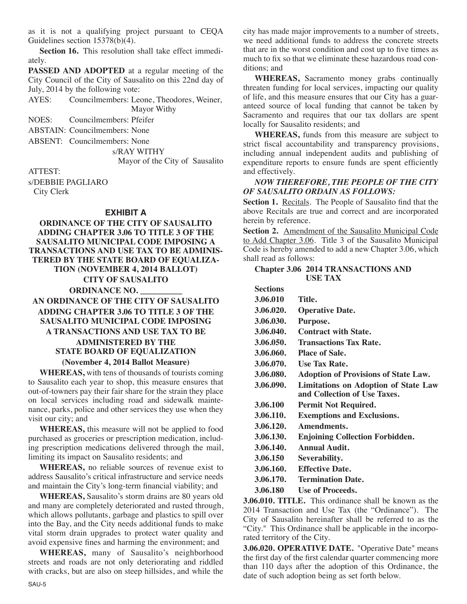as it is not a qualifying project pursuant to CEQA Guidelines section 15378(b)(4).

**Section 16.** This resolution shall take effect immediately.

**PASSED AND ADOPTED** at a regular meeting of the City Council of the City of Sausalito on this 22nd day of July, 2014 by the following vote:

AYES: Councilmembers: Leone, Theodores, Weiner, Mayor Withy

NOES: Councilmembers: Pfeifer

ABSTAIN: Councilmembers: None

ABSENT: Councilmembers: None

s/RAY WITHY

Mayor of the City of Sausalito

ATTEST:

s/DEBBIE PAGLIARO City Clerk

#### **EXHIBIT A**

**ORDINANCE OF THE CITY OF SAUSALITO ADDING CHAPTER 3.06 TO TITLE 3 OF THE SAUSALITO MUNICIPAL CODE IMPOSING A TRANSACTIONS AND USE TAX TO BE ADMINIS-TERED BY THE STATE BOARD OF EQUALIZA-TION (NOVEMBER 4, 2014 BALLOT) CITY OF SAUSALITO ORDINANCE NO. \_\_\_\_\_\_\_\_\_\_ AN ORDINANCE OF THE CITY OF SAUSALITO ADDING CHAPTER 3.06 TO TITLE 3 OF THE SAUSALITO MUNICIPAL CODE IMPOSING A TRANSACTIONS AND USE TAX TO BE ADMINISTERED BY THE STATE BOARD OF EQUALIZATION**

#### **(November 4, 2014 Ballot Measure)**

**WHEREAS,** with tens of thousands of tourists coming to Sausalito each year to shop, this measure ensures that out-of-towners pay their fair share for the strain they place on local services including road and sidewalk maintenance, parks, police and other services they use when they visit our city; and

**WHEREAS,** this measure will not be applied to food purchased as groceries or prescription medication, including prescription medications delivered through the mail, limiting its impact on Sausalito residents; and

**WHEREAS,** no reliable sources of revenue exist to address Sausalito's critical infrastructure and service needs and maintain the City's long-term financial viability; and

**WHEREAS,** Sausalito's storm drains are 80 years old and many are completely deteriorated and rusted through, which allows pollutants, garbage and plastics to spill over into the Bay, and the City needs additional funds to make vital storm drain upgrades to protect water quality and avoid expensive fines and harming the environment; and

**WHEREAS,** many of Sausalito's neighborhood streets and roads are not only deteriorating and riddled with cracks, but are also on steep hillsides, and while the city has made major improvements to a number of streets, we need additional funds to address the concrete streets that are in the worst condition and cost up to five times as much to fix so that we eliminate these hazardous road conditions; and

**WHEREAS,** Sacramento money grabs continually threaten funding for local services, impacting our quality of life, and this measure ensures that our City has a guaranteed source of local funding that cannot be taken by Sacramento and requires that our tax dollars are spent locally for Sausalito residents; and

**WHEREAS,** funds from this measure are subject to strict fiscal accountability and transparency provisions, including annual independent audits and publishing of expenditure reports to ensure funds are spent efficiently and effectively.

# *NOW THEREFORE, THE PEOPLE OF THE CITY OF SAUSALITO ORDAIN AS FOLLOWS:*

**Section 1.** Recitals. The People of Sausalito find that the above Recitals are true and correct and are incorporated herein by reference.

**Section 2.** Amendment of the Sausalito Municipal Code to Add Chapter 3.06. Title 3 of the Sausalito Municipal Code is hereby amended to add a new Chapter 3.06, which shall read as follows:

#### **Chapter 3.06 2014 TRANSACTIONS AND USE TAX**

| <b>Sections</b> |                                                                             |
|-----------------|-----------------------------------------------------------------------------|
| 3.06.010        | Title.                                                                      |
| 3.06.020.       | <b>Operative Date.</b>                                                      |
| 3.06.030.       | Purpose.                                                                    |
| 3.06.040.       | <b>Contract with State.</b>                                                 |
| 3.06.050.       | <b>Transactions Tax Rate.</b>                                               |
| 3.06.060.       | <b>Place of Sale.</b>                                                       |
| 3.06.070.       | <b>Use Tax Rate.</b>                                                        |
| 3.06.080.       | <b>Adoption of Provisions of State Law.</b>                                 |
| 3.06.090.       | <b>Limitations on Adoption of State Law</b><br>and Collection of Use Taxes. |
| 3.06.100        | <b>Permit Not Required.</b>                                                 |
| 3.06.110.       | <b>Exemptions and Exclusions.</b>                                           |
| 3.06.120.       | Amendments.                                                                 |
| 3.06.130.       | <b>Enjoining Collection Forbidden.</b>                                      |
| 3.06.140.       | <b>Annual Audit.</b>                                                        |
| 3.06.150        | Severability.                                                               |
| 3.06.160.       | <b>Effective Date.</b>                                                      |
| 3.06.170.       | <b>Termination Date.</b>                                                    |

**3.06.180 Use of Proceeds.**

**3.06.010. TITLE.** This ordinance shall be known as the 2014 Transaction and Use Tax (the "Ordinance"). The City of Sausalito hereinafter shall be referred to as the "City." This Ordinance shall be applicable in the incorporated territory of the City.

**3.06.020. OPERATIVE DATE.** "Operative Date" means the first day of the first calendar quarter commencing more than 110 days after the adoption of this Ordinance, the date of such adoption being as set forth below.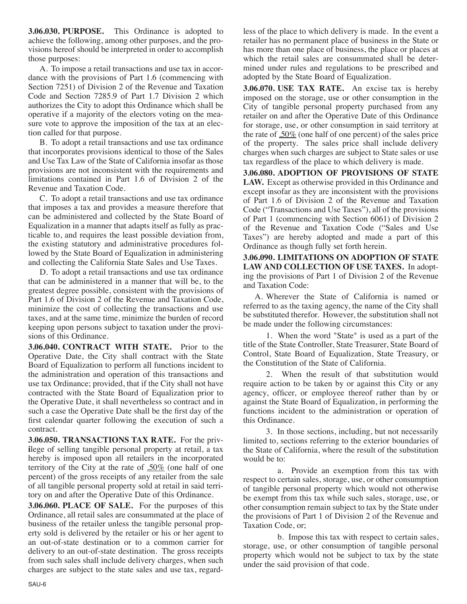**3.06.030. PURPOSE.** This Ordinance is adopted to achieve the following, among other purposes, and the provisions hereof should be interpreted in order to accomplish those purposes:

A. To impose a retail transactions and use tax in accordance with the provisions of Part 1.6 (commencing with Section 7251) of Division 2 of the Revenue and Taxation Code and Section 7285.9 of Part 1.7 Division 2 which authorizes the City to adopt this Ordinance which shall be operative if a majority of the electors voting on the measure vote to approve the imposition of the tax at an election called for that purpose.

B. To adopt a retail transactions and use tax ordinance that incorporates provisions identical to those of the Sales and Use Tax Law of the State of California insofar as those provisions are not inconsistent with the requirements and limitations contained in Part 1.6 of Division 2 of the Revenue and Taxation Code.

C. To adopt a retail transactions and use tax ordinance that imposes a tax and provides a measure therefore that can be administered and collected by the State Board of Equalization in a manner that adapts itself as fully as practicable to, and requires the least possible deviation from, the existing statutory and administrative procedures followed by the State Board of Equalization in administering and collecting the California State Sales and Use Taxes.

D. To adopt a retail transactions and use tax ordinance that can be administered in a manner that will be, to the greatest degree possible, consistent with the provisions of Part 1.6 of Division 2 of the Revenue and Taxation Code, minimize the cost of collecting the transactions and use taxes, and at the same time, minimize the burden of record keeping upon persons subject to taxation under the provisions of this Ordinance.

**3.06.040. CONTRACT WITH STATE.** Prior to the Operative Date, the City shall contract with the State Board of Equalization to perform all functions incident to the administration and operation of this transactions and use tax Ordinance; provided, that if the City shall not have contracted with the State Board of Equalization prior to the Operative Date, it shall nevertheless so contract and in such a case the Operative Date shall be the first day of the first calendar quarter following the execution of such a contract.

**3.06.050. TRANSACTIONS TAX RATE.** For the priv**i**lege of selling tangible personal property at retail, a tax hereby is imposed upon all retailers in the incorporated territory of the City at the rate of  $.50\%$  (one half of one percent) of the gross receipts of any retailer from the sale of all tangible personal property sold at retail in said territory on and after the Operative Date of this Ordinance.

**3.06.060. PLACE OF SALE.** For the purposes of this Ordinance, all retail sales are consummated at the place of business of the retailer unless the tangible personal property sold is delivered by the retailer or his or her agent to an out-of-state destination or to a common carrier for delivery to an out-of-state destination. The gross receipts from such sales shall include delivery charges, when such charges are subject to the state sales and use tax, regardless of the place to which delivery is made. In the event a retailer has no permanent place of business in the State or has more than one place of business, the place or places at which the retail sales are consummated shall be determined under rules and regulations to be prescribed and adopted by the State Board of Equalization.

**3.06.070. USE TAX RATE.** An excise tax is hereby imposed on the storage, use or other consumption in the City of tangible personal property purchased from any retailer on and after the Operative Date of this Ordinance for storage, use, or other consumption in said territory at the rate of .50% (one half of one percent) of the sales price of the property. The sales price shall include delivery charges when such charges are subject to State sales or use tax regardless of the place to which delivery is made.

**3.06.080. ADOPTION OF PROVISIONS OF STATE LAW.** Except as otherwise provided in this Ordinance and except insofar as they are inconsistent with the provisions of Part 1.6 of Division 2 of the Revenue and Taxation Code ("Transactions and Use Taxes"), all of the provisions of Part 1 (commencing with Section 6061) of Division 2 of the Revenue and Taxation Code ("Sales and Use Taxes") are hereby adopted and made a part of this Ordinance as though fully set forth herein.

**3.06.090. LIMITATIONS ON ADOPTION OF STATE LAW AND COLLECTION OF USE TAXES.** In adopting the provisions of Part 1 of Division 2 of the Revenue and Taxation Code:

A. Wherever the State of California is named or referred to as the taxing agency, the name of the City shall be substituted therefor. However, the substitution shall not be made under the following circumstances:

1. When the word "State" is used as a part of the title of the State Controller, State Treasurer, State Board of Control, State Board of Equalization, State Treasury, or the Constitution of the State of California.

2. When the result of that substitution would require action to be taken by or against this City or any agency, officer, or employee thereof rather than by or against the State Board of Equalization, in performing the functions incident to the administration or operation of this Ordinance.

3. In those sections, including, but not necessarily limited to, sections referring to the exterior boundaries of the State of California, where the result of the substitution would be to:

a. Provide an exemption from this tax with respect to certain sales, storage, use, or other consumption of tangible personal property which would not otherwise be exempt from this tax while such sales, storage, use, or other consumption remain subject to tax by the State under the provisions of Part 1 of Division 2 of the Revenue and Taxation Code, or;

b. Impose this tax with respect to certain sales, storage, use, or other consumption of tangible personal property which would not be subject to tax by the state under the said provision of that code.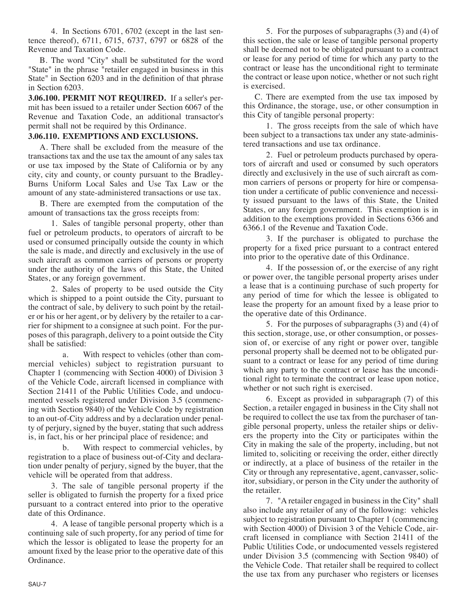4. In Sections 6701, 6702 (except in the last sentence thereof), 6711, 6715, 6737, 6797 or 6828 of the Revenue and Taxation Code.

B. The word "City" shall be substituted for the word "State" in the phrase "retailer engaged in business in this State" in Section 6203 and in the definition of that phrase in Section 6203.

**3.06.100. PERMIT NOT REQUIRED.** If a seller's permit has been issued to a retailer under Section 6067 of the Revenue and Taxation Code, an additional transactor's permit shall not be required by this Ordinance.

### **3.06.110. EXEMPTIONS AND EXCLUSIONS.**

A. There shall be excluded from the measure of the transactions tax and the use tax the amount of any sales tax or use tax imposed by the State of California or by any city, city and county, or county pursuant to the Bradley-Burns Uniform Local Sales and Use Tax Law or the amount of any state-administered transactions or use tax.

B. There are exempted from the computation of the amount of transactions tax the gross receipts from:

1. Sales of tangible personal property, other than fuel or petroleum products, to operators of aircraft to be used or consumed principally outside the county in which the sale is made, and directly and exclusively in the use of such aircraft as common carriers of persons or property under the authority of the laws of this State, the United States, or any foreign government.

2. Sales of property to be used outside the City which is shipped to a point outside the City, pursuant to the contract of sale, by delivery to such point by the retailer or his or her agent, or by delivery by the retailer to a carrier for shipment to a consignee at such point. For the purposes of this paragraph, delivery to a point outside the City shall be satisfied:

a. With respect to vehicles (other than commercial vehicles) subject to registration pursuant to Chapter 1 (commencing with Section 4000) of Division 3 of the Vehicle Code, aircraft licensed in compliance with Section 21411 of the Public Utilities Code, and undocumented vessels registered under Division 3.5 (commencing with Section 9840) of the Vehicle Code by registration to an out-of-City address and by a declaration under penalty of perjury, signed by the buyer, stating that such address is, in fact, his or her principal place of residence; and

b. With respect to commercial vehicles, by registration to a place of business out-of-City and declaration under penalty of perjury, signed by the buyer, that the vehicle will be operated from that address.

3. The sale of tangible personal property if the seller is obligated to furnish the property for a fixed price pursuant to a contract entered into prior to the operative date of this Ordinance.

4. A lease of tangible personal property which is a continuing sale of such property, for any period of time for which the lessor is obligated to lease the property for an amount fixed by the lease prior to the operative date of this Ordinance.

5. For the purposes of subparagraphs (3) and (4) of this section, the sale or lease of tangible personal property shall be deemed not to be obligated pursuant to a contract or lease for any period of time for which any party to the contract or lease has the unconditional right to terminate the contract or lease upon notice, whether or not such right is exercised.

C. There are exempted from the use tax imposed by this Ordinance, the storage, use, or other consumption in this City of tangible personal property:

1. The gross receipts from the sale of which have been subject to a transactions tax under any state-administered transactions and use tax ordinance.

2. Fuel or petroleum products purchased by operators of aircraft and used or consumed by such operators directly and exclusively in the use of such aircraft as common carriers of persons or property for hire or compensation under a certificate of public convenience and necessity issued pursuant to the laws of this State, the United States, or any foreign government. This exemption is in addition to the exemptions provided in Sections 6366 and 6366.1 of the Revenue and Taxation Code.

3. If the purchaser is obligated to purchase the property for a fixed price pursuant to a contract entered into prior to the operative date of this Ordinance.

4. If the possession of, or the exercise of any right or power over, the tangible personal property arises under a lease that is a continuing purchase of such property for any period of time for which the lessee is obligated to lease the property for an amount fixed by a lease prior to the operative date of this Ordinance.

5. For the purposes of subparagraphs (3) and (4) of this section, storage, use, or other consumption, or possession of, or exercise of any right or power over, tangible personal property shall be deemed not to be obligated pursuant to a contract or lease for any period of time during which any party to the contract or lease has the unconditional right to terminate the contract or lease upon notice, whether or not such right is exercised.

6. Except as provided in subparagraph (7) of this Section, a retailer engaged in business in the City shall not be required to collect the use tax from the purchaser of tangible personal property, unless the retailer ships or delivers the property into the City or participates within the City in making the sale of the property, including, but not limited to, soliciting or receiving the order, either directly or indirectly, at a place of business of the retailer in the City or through any representative, agent, canvasser, solicitor, subsidiary, or person in the City under the authority of the retailer.

7. "A retailer engaged in business in the City" shall also include any retailer of any of the following: vehicles subject to registration pursuant to Chapter 1 (commencing with Section 4000) of Division 3 of the Vehicle Code, aircraft licensed in compliance with Section 21411 of the Public Utilities Code, or undocumented vessels registered under Division 3.5 (commencing with Section 9840) of the Vehicle Code. That retailer shall be required to collect the use tax from any purchaser who registers or licenses